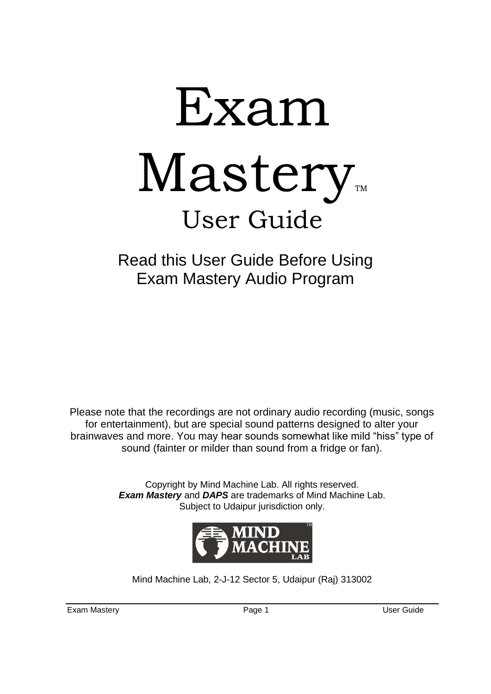# Exam  $M$ astery User Guide

Read this User Guide Before Using Exam Mastery Audio Program

Please note that the recordings are not ordinary audio recording (music, songs for entertainment), but are special sound patterns designed to alter your brainwaves and more. You may hear sounds somewhat like mild "hiss" type of sound (fainter or milder than sound from a fridge or fan).

> Copyright by Mind Machine Lab. All rights reserved. *Exam Mastery* and *DAPS* are trademarks of Mind Machine Lab. Subject to Udaipur jurisdiction only.



Mind Machine Lab, 2-J-12 Sector 5, Udaipur (Raj) 313002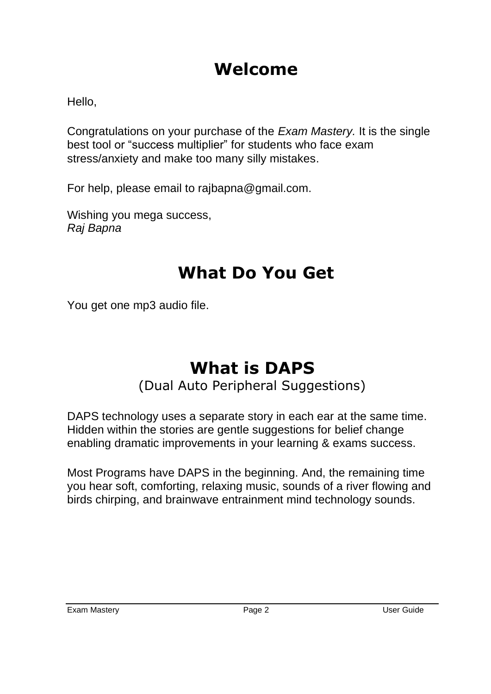### **Welcome**

Hello,

Congratulations on your purchase of the *Exam Mastery.* It is the single best tool or "success multiplier" for students who face exam stress/anxiety and make too many silly mistakes.

For help, please email to rajbapna@gmail.com.

Wishing you mega success. *Raj Bapna*

## **What Do You Get**

You get one mp3 audio file.

## **What is DAPS**

(Dual Auto Peripheral Suggestions)

DAPS technology uses a separate story in each ear at the same time. Hidden within the stories are gentle suggestions for belief change enabling dramatic improvements in your learning & exams success.

Most Programs have DAPS in the beginning. And, the remaining time you hear soft, comforting, relaxing music, sounds of a river flowing and birds chirping, and brainwave entrainment mind technology sounds.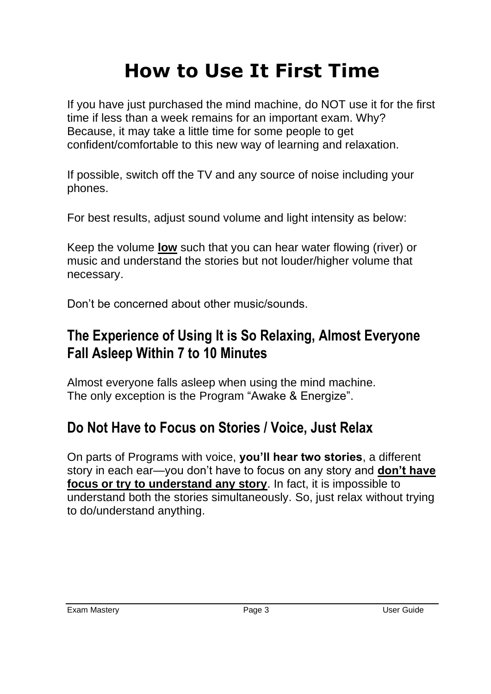# **How to Use It First Time**

If you have just purchased the mind machine, do NOT use it for the first time if less than a week remains for an important exam. Why? Because, it may take a little time for some people to get confident/comfortable to this new way of learning and relaxation.

If possible, switch off the TV and any source of noise including your phones.

For best results, adjust sound volume and light intensity as below:

Keep the volume **low** such that you can hear water flowing (river) or music and understand the stories but not louder/higher volume that necessary.

Don't be concerned about other music/sounds.

#### **The Experience of Using It is So Relaxing, Almost Everyone Fall Asleep Within 7 to 10 Minutes**

Almost everyone falls asleep when using the mind machine. The only exception is the Program "Awake & Energize".

#### **Do Not Have to Focus on Stories / Voice, Just Relax**

On parts of Programs with voice, **you'll hear two stories**, a different story in each ear—you don't have to focus on any story and **don't have focus or try to understand any story**. In fact, it is impossible to understand both the stories simultaneously. So, just relax without trying to do/understand anything.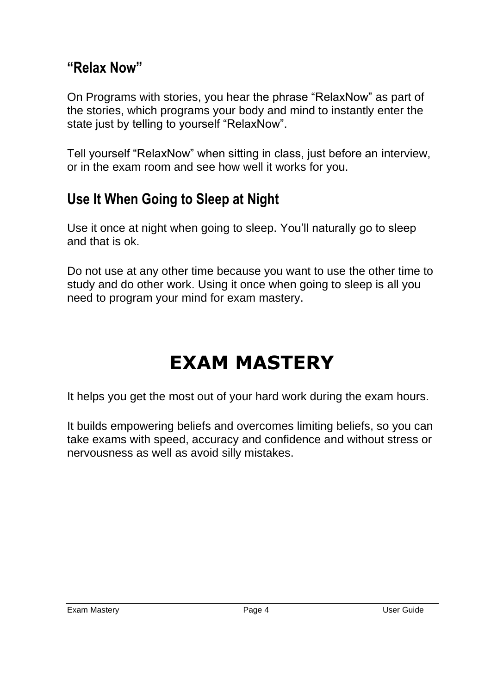#### **"Relax Now"**

On Programs with stories, you hear the phrase "RelaxNow" as part of the stories, which programs your body and mind to instantly enter the state just by telling to yourself "RelaxNow".

Tell yourself "RelaxNow" when sitting in class, just before an interview, or in the exam room and see how well it works for you.

#### **Use It When Going to Sleep at Night**

Use it once at night when going to sleep. You'll naturally go to sleep and that is ok.

Do not use at any other time because you want to use the other time to study and do other work. Using it once when going to sleep is all you need to program your mind for exam mastery.

# **EXAM MASTERY**

It helps you get the most out of your hard work during the exam hours.

It builds empowering beliefs and overcomes limiting beliefs, so you can take exams with speed, accuracy and confidence and without stress or nervousness as well as avoid silly mistakes.